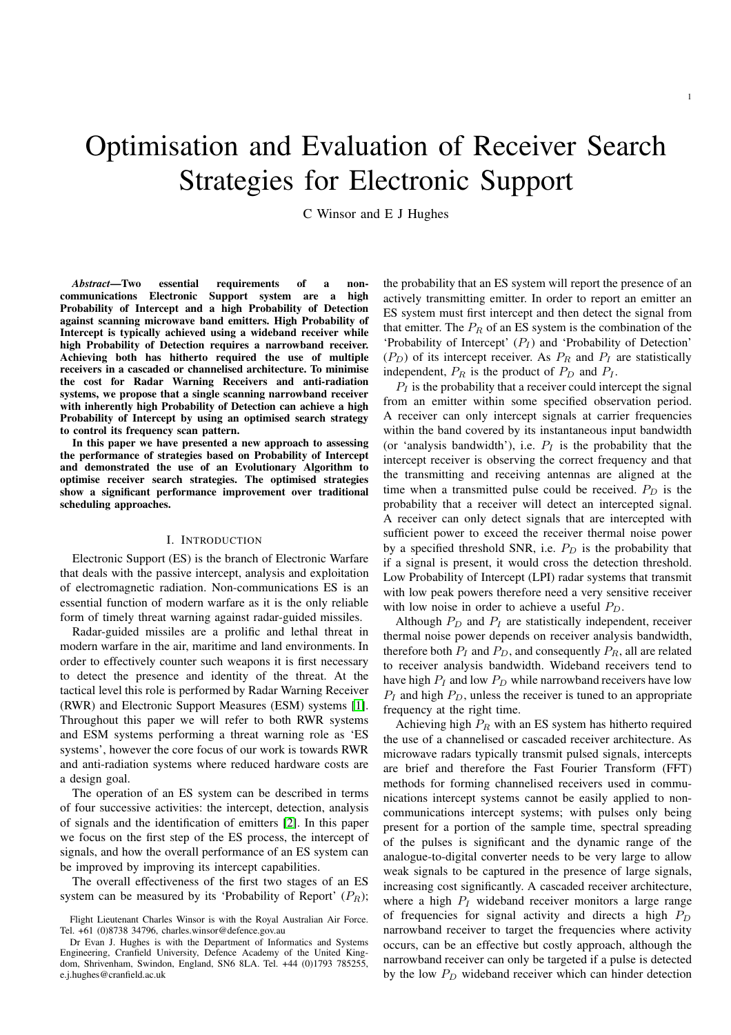# Optimisation and Evaluation of Receiver Search Strategies for Electronic Support

C Winsor and E J Hughes

*Abstract*—Two essential requirements of a noncommunications Electronic Support system are a high Probability of Intercept and a high Probability of Detection against scanning microwave band emitters. High Probability of Intercept is typically achieved using a wideband receiver while high Probability of Detection requires a narrowband receiver. Achieving both has hitherto required the use of multiple receivers in a cascaded or channelised architecture. To minimise the cost for Radar Warning Receivers and anti-radiation systems, we propose that a single scanning narrowband receiver with inherently high Probability of Detection can achieve a high Probability of Intercept by using an optimised search strategy to control its frequency scan pattern.

In this paper we have presented a new approach to assessing the performance of strategies based on Probability of Intercept and demonstrated the use of an Evolutionary Algorithm to optimise receiver search strategies. The optimised strategies show a significant performance improvement over traditional scheduling approaches.

# I. INTRODUCTION

Electronic Support (ES) is the branch of Electronic Warfare that deals with the passive intercept, analysis and exploitation of electromagnetic radiation. Non-communications ES is an essential function of modern warfare as it is the only reliable form of timely threat warning against radar-guided missiles.

Radar-guided missiles are a prolific and lethal threat in modern warfare in the air, maritime and land environments. In order to effectively counter such weapons it is first necessary to detect the presence and identity of the threat. At the tactical level this role is performed by Radar Warning Receiver (RWR) and Electronic Support Measures (ESM) systems [\[1\]](#page-7-0). Throughout this paper we will refer to both RWR systems and ESM systems performing a threat warning role as 'ES systems', however the core focus of our work is towards RWR and anti-radiation systems where reduced hardware costs are a design goal.

The operation of an ES system can be described in terms of four successive activities: the intercept, detection, analysis of signals and the identification of emitters [\[2\]](#page-7-1). In this paper we focus on the first step of the ES process, the intercept of signals, and how the overall performance of an ES system can be improved by improving its intercept capabilities.

The overall effectiveness of the first two stages of an ES system can be measured by its 'Probability of Report'  $(P_R)$ ; the probability that an ES system will report the presence of an actively transmitting emitter. In order to report an emitter an ES system must first intercept and then detect the signal from that emitter. The  $P_R$  of an ES system is the combination of the 'Probability of Intercept'  $(P_I)$  and 'Probability of Detection'  $(P_D)$  of its intercept receiver. As  $P_R$  and  $P_I$  are statistically independent,  $P_R$  is the product of  $P_D$  and  $P_I$ .

 $P_I$  is the probability that a receiver could intercept the signal from an emitter within some specified observation period. A receiver can only intercept signals at carrier frequencies within the band covered by its instantaneous input bandwidth (or 'analysis bandwidth'), i.e.  $P_I$  is the probability that the intercept receiver is observing the correct frequency and that the transmitting and receiving antennas are aligned at the time when a transmitted pulse could be received.  $P_D$  is the probability that a receiver will detect an intercepted signal. A receiver can only detect signals that are intercepted with sufficient power to exceed the receiver thermal noise power by a specified threshold SNR, i.e.  $P_D$  is the probability that if a signal is present, it would cross the detection threshold. Low Probability of Intercept (LPI) radar systems that transmit with low peak powers therefore need a very sensitive receiver with low noise in order to achieve a useful  $P_D$ .

Although  $P_D$  and  $P_I$  are statistically independent, receiver thermal noise power depends on receiver analysis bandwidth, therefore both  $P_I$  and  $P_D$ , and consequently  $P_R$ , all are related to receiver analysis bandwidth. Wideband receivers tend to have high  $P_I$  and low  $P_D$  while narrowband receivers have low  $P_I$  and high  $P_D$ , unless the receiver is tuned to an appropriate frequency at the right time.

Achieving high  $P_R$  with an ES system has hitherto required the use of a channelised or cascaded receiver architecture. As microwave radars typically transmit pulsed signals, intercepts are brief and therefore the Fast Fourier Transform (FFT) methods for forming channelised receivers used in communications intercept systems cannot be easily applied to noncommunications intercept systems; with pulses only being present for a portion of the sample time, spectral spreading of the pulses is significant and the dynamic range of the analogue-to-digital converter needs to be very large to allow weak signals to be captured in the presence of large signals, increasing cost significantly. A cascaded receiver architecture, where a high  $P_I$  wideband receiver monitors a large range of frequencies for signal activity and directs a high  $P_D$ narrowband receiver to target the frequencies where activity occurs, can be an effective but costly approach, although the narrowband receiver can only be targeted if a pulse is detected by the low  $P_D$  wideband receiver which can hinder detection

Flight Lieutenant Charles Winsor is with the Royal Australian Air Force. Tel. +61 (0)8738 34796, charles.winsor@defence.gov.au

Dr Evan J. Hughes is with the Department of Informatics and Systems Engineering, Cranfield University, Defence Academy of the United Kingdom, Shrivenham, Swindon, England, SN6 8LA. Tel. +44 (0)1793 785255, e.j.hughes@cranfield.ac.uk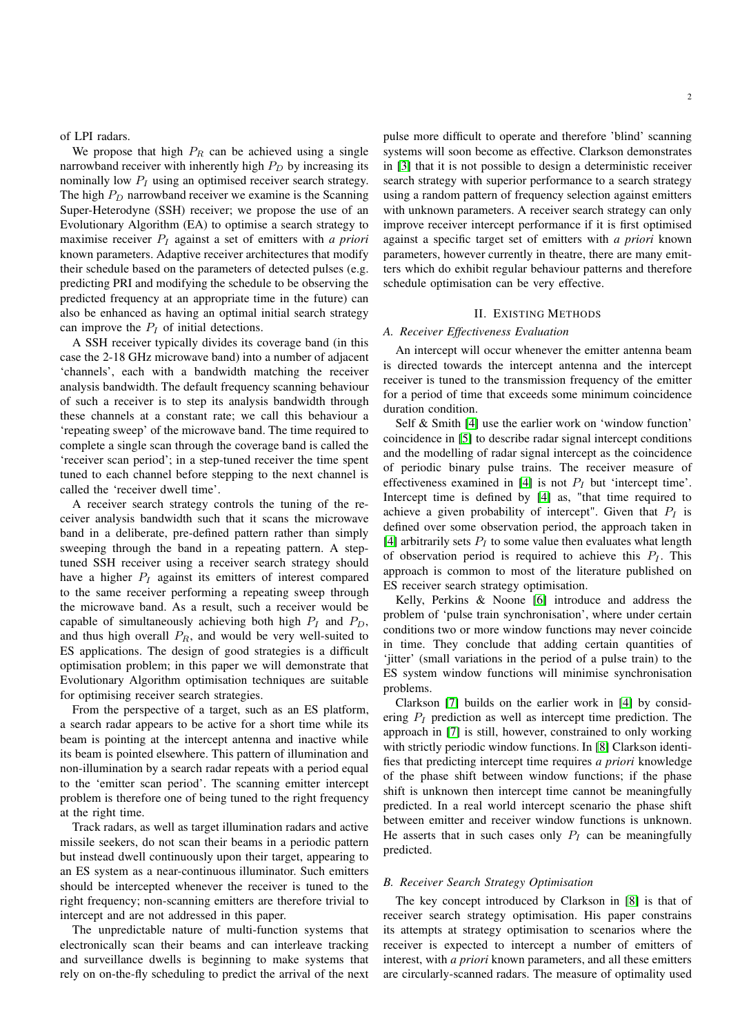## of LPI radars.

We propose that high  $P_R$  can be achieved using a single narrowband receiver with inherently high  $P_D$  by increasing its nominally low  $P_I$  using an optimised receiver search strategy. The high  $P_D$  narrowband receiver we examine is the Scanning Super-Heterodyne (SSH) receiver; we propose the use of an Evolutionary Algorithm (EA) to optimise a search strategy to maximise receiver  $P<sub>I</sub>$  against a set of emitters with *a priori* known parameters. Adaptive receiver architectures that modify their schedule based on the parameters of detected pulses (e.g. predicting PRI and modifying the schedule to be observing the predicted frequency at an appropriate time in the future) can also be enhanced as having an optimal initial search strategy can improve the  $P_I$  of initial detections.

A SSH receiver typically divides its coverage band (in this case the 2-18 GHz microwave band) into a number of adjacent 'channels', each with a bandwidth matching the receiver analysis bandwidth. The default frequency scanning behaviour of such a receiver is to step its analysis bandwidth through these channels at a constant rate; we call this behaviour a 'repeating sweep' of the microwave band. The time required to complete a single scan through the coverage band is called the 'receiver scan period'; in a step-tuned receiver the time spent tuned to each channel before stepping to the next channel is called the 'receiver dwell time'.

A receiver search strategy controls the tuning of the receiver analysis bandwidth such that it scans the microwave band in a deliberate, pre-defined pattern rather than simply sweeping through the band in a repeating pattern. A steptuned SSH receiver using a receiver search strategy should have a higher  $P_I$  against its emitters of interest compared to the same receiver performing a repeating sweep through the microwave band. As a result, such a receiver would be capable of simultaneously achieving both high  $P_I$  and  $P_D$ , and thus high overall  $P_R$ , and would be very well-suited to ES applications. The design of good strategies is a difficult optimisation problem; in this paper we will demonstrate that Evolutionary Algorithm optimisation techniques are suitable for optimising receiver search strategies.

From the perspective of a target, such as an ES platform, a search radar appears to be active for a short time while its beam is pointing at the intercept antenna and inactive while its beam is pointed elsewhere. This pattern of illumination and non-illumination by a search radar repeats with a period equal to the 'emitter scan period'. The scanning emitter intercept problem is therefore one of being tuned to the right frequency at the right time.

Track radars, as well as target illumination radars and active missile seekers, do not scan their beams in a periodic pattern but instead dwell continuously upon their target, appearing to an ES system as a near-continuous illuminator. Such emitters should be intercepted whenever the receiver is tuned to the right frequency; non-scanning emitters are therefore trivial to intercept and are not addressed in this paper.

The unpredictable nature of multi-function systems that electronically scan their beams and can interleave tracking and surveillance dwells is beginning to make systems that rely on on-the-fly scheduling to predict the arrival of the next

pulse more difficult to operate and therefore 'blind' scanning systems will soon become as effective. Clarkson demonstrates in [\[3\]](#page-7-2) that it is not possible to design a deterministic receiver search strategy with superior performance to a search strategy using a random pattern of frequency selection against emitters with unknown parameters. A receiver search strategy can only improve receiver intercept performance if it is first optimised against a specific target set of emitters with *a priori* known parameters, however currently in theatre, there are many emitters which do exhibit regular behaviour patterns and therefore schedule optimisation can be very effective.

# II. EXISTING METHODS

# *A. Receiver Effectiveness Evaluation*

An intercept will occur whenever the emitter antenna beam is directed towards the intercept antenna and the intercept receiver is tuned to the transmission frequency of the emitter for a period of time that exceeds some minimum coincidence duration condition.

Self & Smith [\[4\]](#page-7-3) use the earlier work on 'window function' coincidence in [\[5\]](#page-7-4) to describe radar signal intercept conditions and the modelling of radar signal intercept as the coincidence of periodic binary pulse trains. The receiver measure of effectiveness examined in [\[4\]](#page-7-3) is not  $P<sub>I</sub>$  but 'intercept time'. Intercept time is defined by [\[4\]](#page-7-3) as, "that time required to achieve a given probability of intercept". Given that  $P_I$  is defined over some observation period, the approach taken in [\[4\]](#page-7-3) arbitrarily sets  $P_I$  to some value then evaluates what length of observation period is required to achieve this  $P_I$ . This approach is common to most of the literature published on ES receiver search strategy optimisation.

Kelly, Perkins & Noone [\[6\]](#page-7-5) introduce and address the problem of 'pulse train synchronisation', where under certain conditions two or more window functions may never coincide in time. They conclude that adding certain quantities of 'jitter' (small variations in the period of a pulse train) to the ES system window functions will minimise synchronisation problems.

Clarkson [\[7\]](#page-7-6) builds on the earlier work in [\[4\]](#page-7-3) by considering  $P_I$  prediction as well as intercept time prediction. The approach in [\[7\]](#page-7-6) is still, however, constrained to only working with strictly periodic window functions. In [\[8\]](#page-7-7) Clarkson identifies that predicting intercept time requires *a priori* knowledge of the phase shift between window functions; if the phase shift is unknown then intercept time cannot be meaningfully predicted. In a real world intercept scenario the phase shift between emitter and receiver window functions is unknown. He asserts that in such cases only  $P_I$  can be meaningfully predicted.

# *B. Receiver Search Strategy Optimisation*

The key concept introduced by Clarkson in [\[8\]](#page-7-7) is that of receiver search strategy optimisation. His paper constrains its attempts at strategy optimisation to scenarios where the receiver is expected to intercept a number of emitters of interest, with *a priori* known parameters, and all these emitters are circularly-scanned radars. The measure of optimality used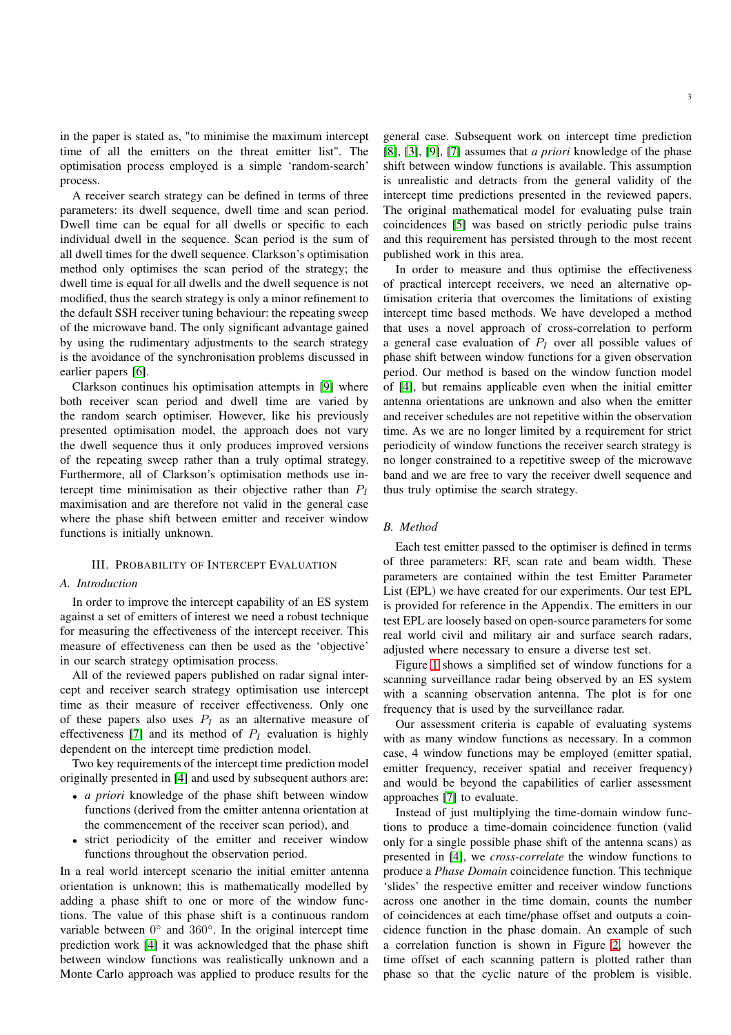in the paper is stated as, "to minimise the maximum intercept time of all the emitters on the threat emitter list". The optimisation process employed is a simple 'random-search' process.

A receiver search strategy can be defined in terms of three parameters: its dwell sequence, dwell time and scan period. Dwell time can be equal for all dwells or specific to each individual dwell in the sequence. Scan period is the sum of all dwell times for the dwell sequence. Clarkson's optimisation method only optimises the scan period of the strategy; the dwell time is equal for all dwells and the dwell sequence is not modified, thus the search strategy is only a minor refinement to the default SSH receiver tuning behaviour: the repeating sweep of the microwave band. The only significant advantage gained by using the rudimentary adjustments to the search strategy is the avoidance of the synchronisation problems discussed in earlier papers [\[6\]](#page-7-5).

Clarkson continues his optimisation attempts in [\[9\]](#page-7-8) where both receiver scan period and dwell time are varied by the random search optimiser. However, like his previously presented optimisation model, the approach does not vary the dwell sequence thus it only produces improved versions of the repeating sweep rather than a truly optimal strategy. Furthermore, all of Clarkson's optimisation methods use intercept time minimisation as their objective rather than  $P_I$ maximisation and are therefore not valid in the general case where the phase shift between emitter and receiver window functions is initially unknown.

## III. PROBABILITY OF INTERCEPT EVALUATION

# *A. Introduction*

In order to improve the intercept capability of an ES system against a set of emitters of interest we need a robust technique for measuring the effectiveness of the intercept receiver. This measure of effectiveness can then be used as the 'objective' in our search strategy optimisation process.

All of the reviewed papers published on radar signal intercept and receiver search strategy optimisation use intercept time as their measure of receiver effectiveness. Only one of these papers also uses  $P_I$  as an alternative measure of effectiveness [\[7\]](#page-7-6) and its method of  $P<sub>I</sub>$  evaluation is highly dependent on the intercept time prediction model.

Two key requirements of the intercept time prediction model originally presented in [\[4\]](#page-7-3) and used by subsequent authors are:

- *a priori* knowledge of the phase shift between window functions (derived from the emitter antenna orientation at the commencement of the receiver scan period), and
- strict periodicity of the emitter and receiver window functions throughout the observation period.

In a real world intercept scenario the initial emitter antenna orientation is unknown; this is mathematically modelled by adding a phase shift to one or more of the window functions. The value of this phase shift is a continuous random variable between  $0^{\circ}$  and  $360^{\circ}$ . In the original intercept time prediction work [\[4\]](#page-7-3) it was acknowledged that the phase shift between window functions was realistically unknown and a Monte Carlo approach was applied to produce results for the

general case. Subsequent work on intercept time prediction [\[8\]](#page-7-7), [\[3\]](#page-7-2), [\[9\]](#page-7-8), [\[7\]](#page-7-6) assumes that *a priori* knowledge of the phase shift between window functions is available. This assumption is unrealistic and detracts from the general validity of the intercept time predictions presented in the reviewed papers. The original mathematical model for evaluating pulse train coincidences [\[5\]](#page-7-4) was based on strictly periodic pulse trains and this requirement has persisted through to the most recent published work in this area.

In order to measure and thus optimise the effectiveness of practical intercept receivers, we need an alternative optimisation criteria that overcomes the limitations of existing intercept time based methods. We have developed a method that uses a novel approach of cross-correlation to perform a general case evaluation of  $P_I$  over all possible values of phase shift between window functions for a given observation period. Our method is based on the window function model of [\[4\]](#page-7-3), but remains applicable even when the initial emitter antenna orientations are unknown and also when the emitter and receiver schedules are not repetitive within the observation time. As we are no longer limited by a requirement for strict periodicity of window functions the receiver search strategy is no longer constrained to a repetitive sweep of the microwave band and we are free to vary the receiver dwell sequence and thus truly optimise the search strategy.

## *B. Method*

Each test emitter passed to the optimiser is defined in terms of three parameters: RF, scan rate and beam width. These parameters are contained within the test Emitter Parameter List (EPL) we have created for our experiments. Our test EPL is provided for reference in the Appendix. The emitters in our test EPL are loosely based on open-source parameters for some real world civil and military air and surface search radars, adjusted where necessary to ensure a diverse test set.

Figure [1](#page-3-0) shows a simplified set of window functions for a scanning surveillance radar being observed by an ES system with a scanning observation antenna. The plot is for one frequency that is used by the surveillance radar.

Our assessment criteria is capable of evaluating systems with as many window functions as necessary. In a common case, 4 window functions may be employed (emitter spatial, emitter frequency, receiver spatial and receiver frequency) and would be beyond the capabilities of earlier assessment approaches [\[7\]](#page-7-6) to evaluate.

Instead of just multiplying the time-domain window functions to produce a time-domain coincidence function (valid only for a single possible phase shift of the antenna scans) as presented in [\[4\]](#page-7-3), we *cross-correlate* the window functions to produce a *Phase Domain* coincidence function. This technique 'slides' the respective emitter and receiver window functions across one another in the time domain, counts the number of coincidences at each time/phase offset and outputs a coincidence function in the phase domain. An example of such a correlation function is shown in Figure [2,](#page-3-1) however the time offset of each scanning pattern is plotted rather than phase so that the cyclic nature of the problem is visible.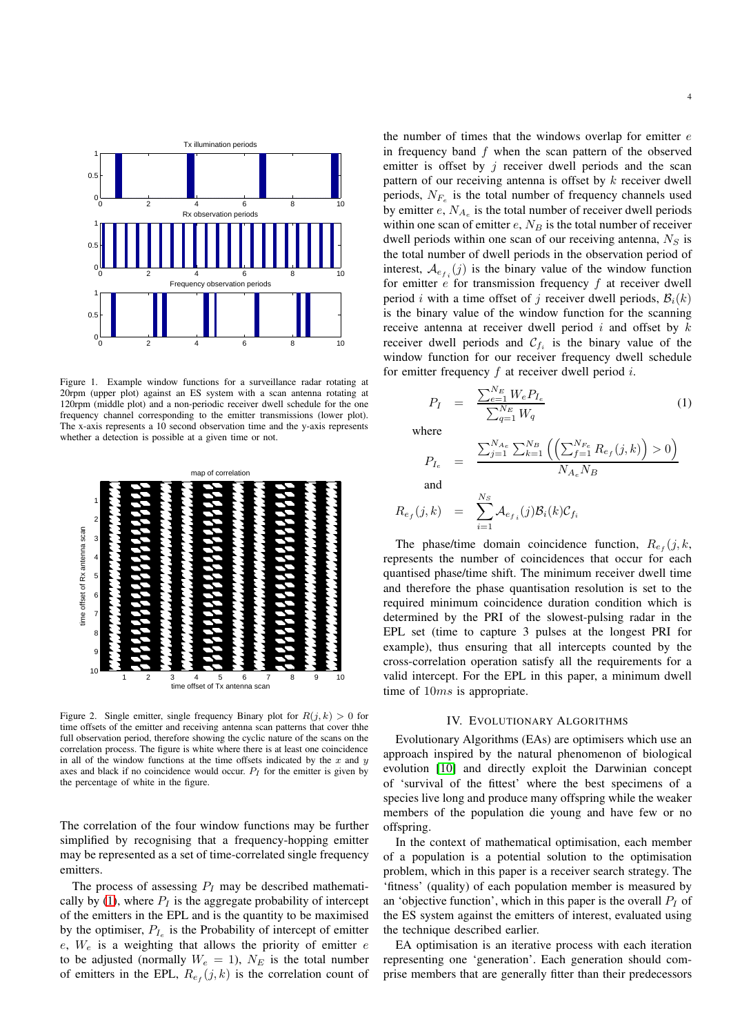

<span id="page-3-0"></span>Figure 1. Example window functions for a surveillance radar rotating at 20rpm (upper plot) against an ES system with a scan antenna rotating at 120rpm (middle plot) and a non-periodic receiver dwell schedule for the one frequency channel corresponding to the emitter transmissions (lower plot). The x-axis represents a 10 second observation time and the y-axis represents whether a detection is possible at a given time or not.



<span id="page-3-1"></span>Figure 2. Single emitter, single frequency Binary plot for  $R(i, k) > 0$  for time offsets of the emitter and receiving antenna scan patterns that cover thhe full observation period, therefore showing the cyclic nature of the scans on the correlation process. The figure is white where there is at least one coincidence in all of the window functions at the time offsets indicated by the x and  $y$ axes and black if no coincidence would occur.  $P_I$  for the emitter is given by the percentage of white in the figure.

The correlation of the four window functions may be further simplified by recognising that a frequency-hopping emitter may be represented as a set of time-correlated single frequency emitters.

The process of assessing  $P_I$  may be described mathemati-cally by [\(1\)](#page-3-2), where  $P_I$  is the aggregate probability of intercept of the emitters in the EPL and is the quantity to be maximised by the optimiser,  $P_{I_e}$  is the Probability of intercept of emitter  $e$ ,  $W_e$  is a weighting that allows the priority of emitter  $e$ to be adjusted (normally  $W_e = 1$ ),  $N_E$  is the total number of emitters in the EPL,  $R_{e_f}(j,k)$  is the correlation count of

the number of times that the windows overlap for emitter  $e$ in frequency band f when the scan pattern of the observed emitter is offset by  $j$  receiver dwell periods and the scan pattern of our receiving antenna is offset by  $k$  receiver dwell periods,  $N_{F_e}$  is the total number of frequency channels used by emitter  $e$ ,  $N_{A_e}$  is the total number of receiver dwell periods within one scan of emitter  $e$ ,  $N_B$  is the total number of receiver dwell periods within one scan of our receiving antenna,  $N<sub>S</sub>$  is the total number of dwell periods in the observation period of interest,  $A_{e_{f_i}}(j)$  is the binary value of the window function for emitter  $e$  for transmission frequency  $f$  at receiver dwell period i with a time offset of j receiver dwell periods,  $B_i(k)$ is the binary value of the window function for the scanning receive antenna at receiver dwell period  $i$  and offset by  $k$ receiver dwell periods and  $\mathcal{C}_{f_i}$  is the binary value of the window function for our receiver frequency dwell schedule for emitter frequency  $f$  at receiver dwell period  $i$ .

<span id="page-3-2"></span>
$$
P_I = \frac{\sum_{e=1}^{N_E} W_e P_{I_e}}{\sum_{q=1}^{N_E} W_q}
$$
 (1)

where

$$
P_{I_e} = \frac{\sum_{j=1}^{N_{A_e}} \sum_{k=1}^{N_B} \left( \left( \sum_{f=1}^{N_{Fe}} R_{e_f}(j, k) \right) > 0 \right)}{N_{A_e} N_B}
$$

and

$$
R_{e_f}(j,k) = \sum_{i=1}^{N_S} \mathcal{A}_{e_{f_i}}(j) \mathcal{B}_i(k) \mathcal{C}_{f_i}
$$

The phase/time domain coincidence function,  $R_{e_f}(j, k, \cdot)$ represents the number of coincidences that occur for each quantised phase/time shift. The minimum receiver dwell time and therefore the phase quantisation resolution is set to the required minimum coincidence duration condition which is determined by the PRI of the slowest-pulsing radar in the EPL set (time to capture 3 pulses at the longest PRI for example), thus ensuring that all intercepts counted by the cross-correlation operation satisfy all the requirements for a valid intercept. For the EPL in this paper, a minimum dwell time of 10ms is appropriate.

# IV. EVOLUTIONARY ALGORITHMS

Evolutionary Algorithms (EAs) are optimisers which use an approach inspired by the natural phenomenon of biological evolution [\[10\]](#page-7-9) and directly exploit the Darwinian concept of 'survival of the fittest' where the best specimens of a species live long and produce many offspring while the weaker members of the population die young and have few or no offspring.

In the context of mathematical optimisation, each member of a population is a potential solution to the optimisation problem, which in this paper is a receiver search strategy. The 'fitness' (quality) of each population member is measured by an 'objective function', which in this paper is the overall  $P_I$  of the ES system against the emitters of interest, evaluated using the technique described earlier.

EA optimisation is an iterative process with each iteration representing one 'generation'. Each generation should comprise members that are generally fitter than their predecessors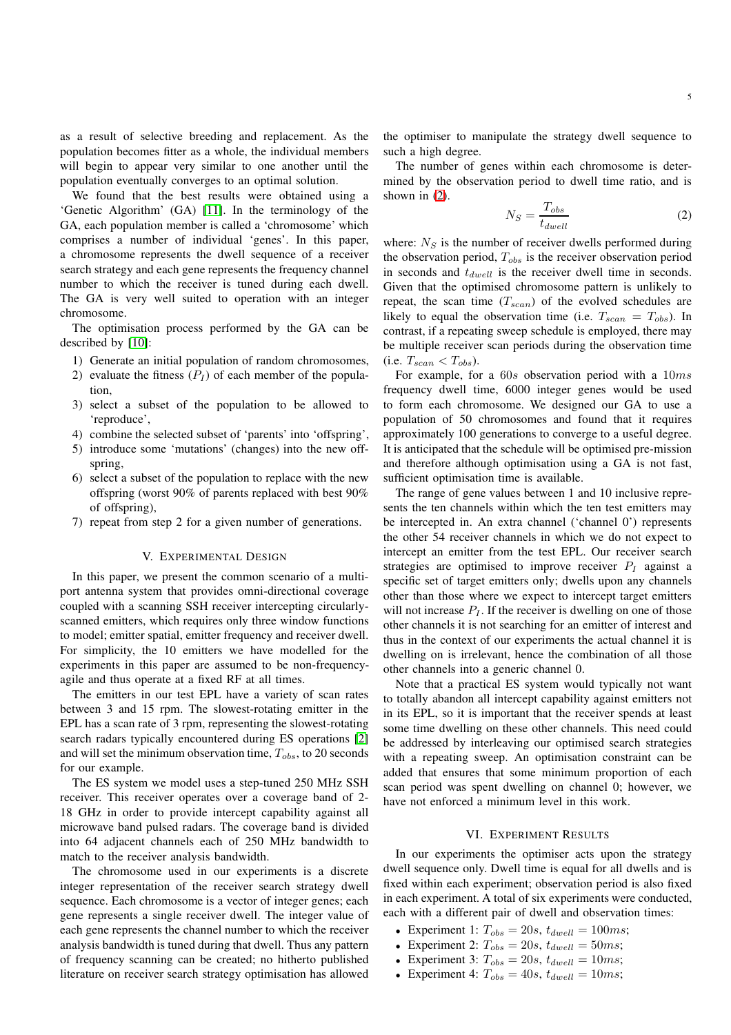as a result of selective breeding and replacement. As the population becomes fitter as a whole, the individual members will begin to appear very similar to one another until the population eventually converges to an optimal solution.

We found that the best results were obtained using a 'Genetic Algorithm' (GA) [\[11\]](#page-7-10). In the terminology of the GA, each population member is called a 'chromosome' which comprises a number of individual 'genes'. In this paper, a chromosome represents the dwell sequence of a receiver search strategy and each gene represents the frequency channel number to which the receiver is tuned during each dwell. The GA is very well suited to operation with an integer chromosome.

The optimisation process performed by the GA can be described by [\[10\]](#page-7-9):

- 1) Generate an initial population of random chromosomes,
- 2) evaluate the fitness  $(P_I)$  of each member of the population,
- 3) select a subset of the population to be allowed to 'reproduce',
- 4) combine the selected subset of 'parents' into 'offspring',
- 5) introduce some 'mutations' (changes) into the new offspring,
- 6) select a subset of the population to replace with the new offspring (worst 90% of parents replaced with best 90% of offspring),
- 7) repeat from step 2 for a given number of generations.

# V. EXPERIMENTAL DESIGN

In this paper, we present the common scenario of a multiport antenna system that provides omni-directional coverage coupled with a scanning SSH receiver intercepting circularlyscanned emitters, which requires only three window functions to model; emitter spatial, emitter frequency and receiver dwell. For simplicity, the 10 emitters we have modelled for the experiments in this paper are assumed to be non-frequencyagile and thus operate at a fixed RF at all times.

The emitters in our test EPL have a variety of scan rates between 3 and 15 rpm. The slowest-rotating emitter in the EPL has a scan rate of 3 rpm, representing the slowest-rotating search radars typically encountered during ES operations [\[2\]](#page-7-1) and will set the minimum observation time,  $T_{obs}$ , to 20 seconds for our example.

The ES system we model uses a step-tuned 250 MHz SSH receiver. This receiver operates over a coverage band of 2- 18 GHz in order to provide intercept capability against all microwave band pulsed radars. The coverage band is divided into 64 adjacent channels each of 250 MHz bandwidth to match to the receiver analysis bandwidth.

The chromosome used in our experiments is a discrete integer representation of the receiver search strategy dwell sequence. Each chromosome is a vector of integer genes; each gene represents a single receiver dwell. The integer value of each gene represents the channel number to which the receiver analysis bandwidth is tuned during that dwell. Thus any pattern of frequency scanning can be created; no hitherto published literature on receiver search strategy optimisation has allowed the optimiser to manipulate the strategy dwell sequence to such a high degree.

The number of genes within each chromosome is determined by the observation period to dwell time ratio, and is shown in [\(2\)](#page-4-0).

<span id="page-4-0"></span>
$$
N_S = \frac{T_{obs}}{t_{dwell}}\tag{2}
$$

where:  $N<sub>S</sub>$  is the number of receiver dwells performed during the observation period,  $T_{obs}$  is the receiver observation period in seconds and  $t_{dwell}$  is the receiver dwell time in seconds. Given that the optimised chromosome pattern is unlikely to repeat, the scan time  $(T_{scan})$  of the evolved schedules are likely to equal the observation time (i.e.  $T_{scan} = T_{obs}$ ). In contrast, if a repeating sweep schedule is employed, there may be multiple receiver scan periods during the observation time (i.e.  $T_{scan} < T_{obs}$ ).

For example, for a 60s observation period with a 10ms frequency dwell time, 6000 integer genes would be used to form each chromosome. We designed our GA to use a population of 50 chromosomes and found that it requires approximately 100 generations to converge to a useful degree. It is anticipated that the schedule will be optimised pre-mission and therefore although optimisation using a GA is not fast, sufficient optimisation time is available.

The range of gene values between 1 and 10 inclusive represents the ten channels within which the ten test emitters may be intercepted in. An extra channel ('channel 0') represents the other 54 receiver channels in which we do not expect to intercept an emitter from the test EPL. Our receiver search strategies are optimised to improve receiver  $P_I$  against a specific set of target emitters only; dwells upon any channels other than those where we expect to intercept target emitters will not increase  $P_I$ . If the receiver is dwelling on one of those other channels it is not searching for an emitter of interest and thus in the context of our experiments the actual channel it is dwelling on is irrelevant, hence the combination of all those other channels into a generic channel 0.

Note that a practical ES system would typically not want to totally abandon all intercept capability against emitters not in its EPL, so it is important that the receiver spends at least some time dwelling on these other channels. This need could be addressed by interleaving our optimised search strategies with a repeating sweep. An optimisation constraint can be added that ensures that some minimum proportion of each scan period was spent dwelling on channel 0; however, we have not enforced a minimum level in this work.

# VI. EXPERIMENT RESULTS

In our experiments the optimiser acts upon the strategy dwell sequence only. Dwell time is equal for all dwells and is fixed within each experiment; observation period is also fixed in each experiment. A total of six experiments were conducted, each with a different pair of dwell and observation times:

- Experiment 1:  $T_{obs} = 20s$ ,  $t_{dwell} = 100ms$ ;
- Experiment 2:  $T_{obs} = 20s$ ,  $t_{dwell} = 50ms$ ;
- Experiment 3:  $T_{obs} = 20s$ ,  $t_{dwell} = 10ms$ ;
- Experiment 4:  $T_{obs} = 40s$ ,  $t_{dwell} = 10ms$ ;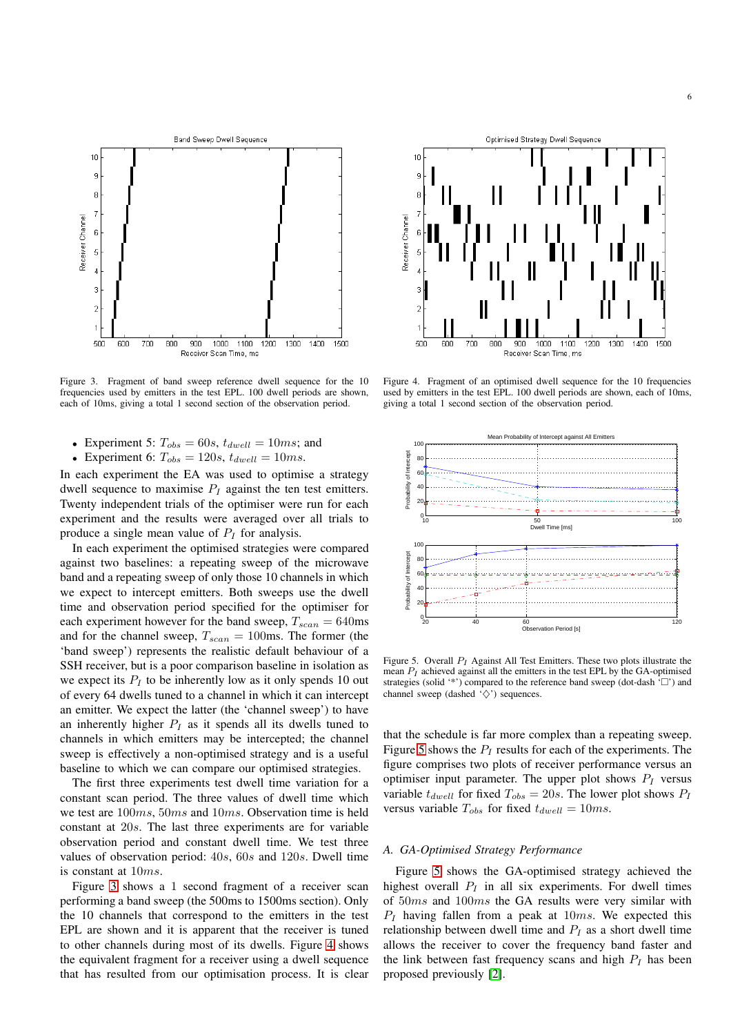

<span id="page-5-0"></span>Figure 3. Fragment of band sweep reference dwell sequence for the 10 frequencies used by emitters in the test EPL. 100 dwell periods are shown, each of 10ms, giving a total 1 second section of the observation period.

- Experiment 5:  $T_{obs} = 60s$ ,  $t_{dwell} = 10ms$ ; and
- Experiment 6:  $T_{obs} = 120s$ ,  $t_{dwell} = 10ms$ .

In each experiment the EA was used to optimise a strategy dwell sequence to maximise  $P_I$  against the ten test emitters. Twenty independent trials of the optimiser were run for each experiment and the results were averaged over all trials to produce a single mean value of  $P_I$  for analysis.

In each experiment the optimised strategies were compared against two baselines: a repeating sweep of the microwave band and a repeating sweep of only those 10 channels in which we expect to intercept emitters. Both sweeps use the dwell time and observation period specified for the optimiser for each experiment however for the band sweep,  $T_{scan} = 640$ ms and for the channel sweep,  $T_{scan} = 100$ ms. The former (the 'band sweep') represents the realistic default behaviour of a SSH receiver, but is a poor comparison baseline in isolation as we expect its  $P<sub>I</sub>$  to be inherently low as it only spends 10 out of every 64 dwells tuned to a channel in which it can intercept an emitter. We expect the latter (the 'channel sweep') to have an inherently higher  $P_I$  as it spends all its dwells tuned to channels in which emitters may be intercepted; the channel sweep is effectively a non-optimised strategy and is a useful baseline to which we can compare our optimised strategies.

The first three experiments test dwell time variation for a constant scan period. The three values of dwell time which we test are 100ms, 50ms and 10ms. Observation time is held constant at 20s. The last three experiments are for variable observation period and constant dwell time. We test three values of observation period: 40s, 60s and 120s. Dwell time is constant at 10ms.

Figure [3](#page-5-0) shows a 1 second fragment of a receiver scan performing a band sweep (the 500ms to 1500ms section). Only the 10 channels that correspond to the emitters in the test EPL are shown and it is apparent that the receiver is tuned to other channels during most of its dwells. Figure [4](#page-5-1) shows the equivalent fragment for a receiver using a dwell sequence that has resulted from our optimisation process. It is clear



<span id="page-5-1"></span>Figure 4. Fragment of an optimised dwell sequence for the 10 frequencies used by emitters in the test EPL. 100 dwell periods are shown, each of 10ms, giving a total 1 second section of the observation period.



<span id="page-5-2"></span>Figure 5. Overall  $P_I$  Against All Test Emitters. These two plots illustrate the mean  $P_I$  achieved against all the emitters in the test EPL by the GA-optimised strategies (solid '\*') compared to the reference band sweep (dot-dash  $\sim$  ) and channel sweep (dashed  $\sqrt{\diamond}$ ) sequences.

that the schedule is far more complex than a repeating sweep. Figure [5](#page-5-2) shows the  $P_I$  results for each of the experiments. The figure comprises two plots of receiver performance versus an optimiser input parameter. The upper plot shows  $P_I$  versus variable  $t_{dwell}$  for fixed  $T_{obs} = 20s$ . The lower plot shows  $P_I$ versus variable  $T_{obs}$  for fixed  $t_{dwell} = 10ms$ .

# *A. GA-Optimised Strategy Performance*

Figure [5](#page-5-2) shows the GA-optimised strategy achieved the highest overall  $P_I$  in all six experiments. For dwell times of 50ms and 100ms the GA results were very similar with  $P_I$  having fallen from a peak at  $10ms$ . We expected this relationship between dwell time and  $P<sub>I</sub>$  as a short dwell time allows the receiver to cover the frequency band faster and the link between fast frequency scans and high  $P_I$  has been proposed previously [\[2\]](#page-7-1).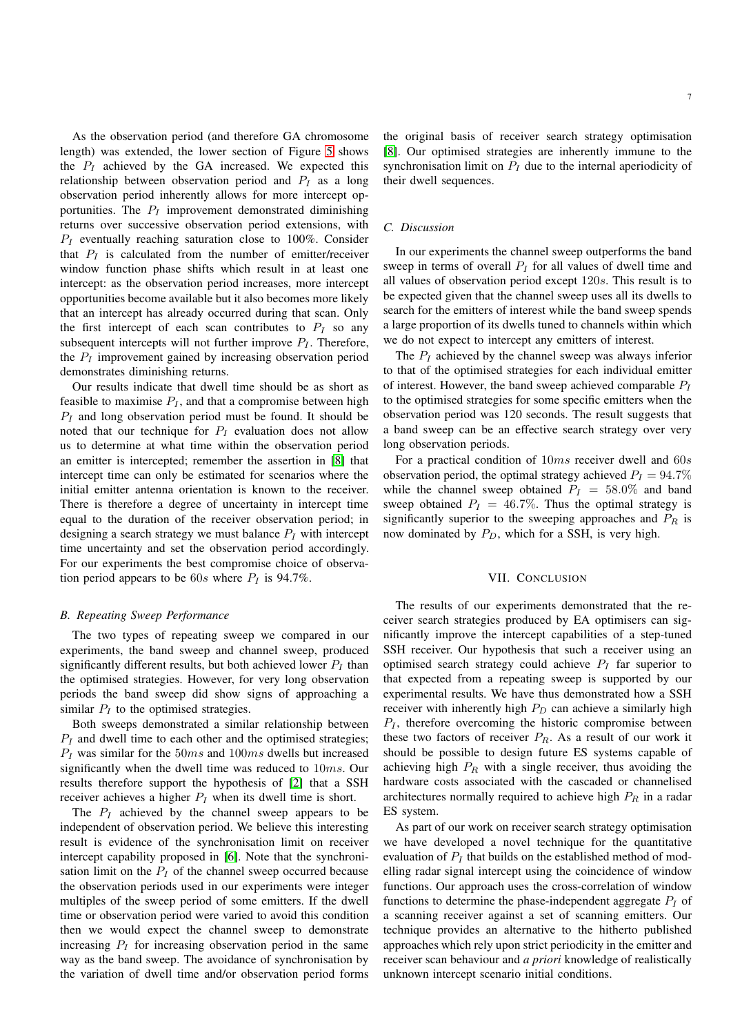As the observation period (and therefore GA chromosome length) was extended, the lower section of Figure [5](#page-5-2) shows the  $P_I$  achieved by the GA increased. We expected this relationship between observation period and  $P_I$  as a long observation period inherently allows for more intercept opportunities. The  $P<sub>I</sub>$  improvement demonstrated diminishing returns over successive observation period extensions, with  $P_I$  eventually reaching saturation close to 100%. Consider that  $P_I$  is calculated from the number of emitter/receiver window function phase shifts which result in at least one intercept: as the observation period increases, more intercept opportunities become available but it also becomes more likely that an intercept has already occurred during that scan. Only the first intercept of each scan contributes to  $P_I$  so any subsequent intercepts will not further improve  $P_I$ . Therefore, the  $P_I$  improvement gained by increasing observation period demonstrates diminishing returns.

Our results indicate that dwell time should be as short as feasible to maximise  $P_I$ , and that a compromise between high  $P_I$  and long observation period must be found. It should be noted that our technique for  $P_I$  evaluation does not allow us to determine at what time within the observation period an emitter is intercepted; remember the assertion in [\[8\]](#page-7-7) that intercept time can only be estimated for scenarios where the initial emitter antenna orientation is known to the receiver. There is therefore a degree of uncertainty in intercept time equal to the duration of the receiver observation period; in designing a search strategy we must balance  $P_I$  with intercept time uncertainty and set the observation period accordingly. For our experiments the best compromise choice of observation period appears to be 60s where  $P_I$  is 94.7%.

# *B. Repeating Sweep Performance*

The two types of repeating sweep we compared in our experiments, the band sweep and channel sweep, produced significantly different results, but both achieved lower  $P_I$  than the optimised strategies. However, for very long observation periods the band sweep did show signs of approaching a similar  $P_I$  to the optimised strategies.

Both sweeps demonstrated a similar relationship between  $P_I$  and dwell time to each other and the optimised strategies;  $P_I$  was similar for the 50ms and 100ms dwells but increased significantly when the dwell time was reduced to 10ms. Our results therefore support the hypothesis of [\[2\]](#page-7-1) that a SSH receiver achieves a higher  $P_I$  when its dwell time is short.

The  $P_I$  achieved by the channel sweep appears to be independent of observation period. We believe this interesting result is evidence of the synchronisation limit on receiver intercept capability proposed in [\[6\]](#page-7-5). Note that the synchronisation limit on the  $P_I$  of the channel sweep occurred because the observation periods used in our experiments were integer multiples of the sweep period of some emitters. If the dwell time or observation period were varied to avoid this condition then we would expect the channel sweep to demonstrate increasing  $P_I$  for increasing observation period in the same way as the band sweep. The avoidance of synchronisation by the variation of dwell time and/or observation period forms

the original basis of receiver search strategy optimisation [\[8\]](#page-7-7). Our optimised strategies are inherently immune to the synchronisation limit on  $P_I$  due to the internal aperiodicity of their dwell sequences.

# *C. Discussion*

In our experiments the channel sweep outperforms the band sweep in terms of overall  $P<sub>I</sub>$  for all values of dwell time and all values of observation period except 120s. This result is to be expected given that the channel sweep uses all its dwells to search for the emitters of interest while the band sweep spends a large proportion of its dwells tuned to channels within which we do not expect to intercept any emitters of interest.

The  $P_I$  achieved by the channel sweep was always inferior to that of the optimised strategies for each individual emitter of interest. However, the band sweep achieved comparable  $P_I$ to the optimised strategies for some specific emitters when the observation period was 120 seconds. The result suggests that a band sweep can be an effective search strategy over very long observation periods.

For a practical condition of 10ms receiver dwell and 60s observation period, the optimal strategy achieved  $P_I = 94.7\%$ while the channel sweep obtained  $P<sub>I</sub> = 58.0\%$  and band sweep obtained  $P_I = 46.7\%$ . Thus the optimal strategy is significantly superior to the sweeping approaches and  $P_R$  is now dominated by  $P_D$ , which for a SSH, is very high.

# VII. CONCLUSION

The results of our experiments demonstrated that the receiver search strategies produced by EA optimisers can significantly improve the intercept capabilities of a step-tuned SSH receiver. Our hypothesis that such a receiver using an optimised search strategy could achieve  $P_I$  far superior to that expected from a repeating sweep is supported by our experimental results. We have thus demonstrated how a SSH receiver with inherently high  $P_D$  can achieve a similarly high  $P_I$ , therefore overcoming the historic compromise between these two factors of receiver  $P_R$ . As a result of our work it should be possible to design future ES systems capable of achieving high  $P_R$  with a single receiver, thus avoiding the hardware costs associated with the cascaded or channelised architectures normally required to achieve high  $P_R$  in a radar ES system.

As part of our work on receiver search strategy optimisation we have developed a novel technique for the quantitative evaluation of  $P_I$  that builds on the established method of modelling radar signal intercept using the coincidence of window functions. Our approach uses the cross-correlation of window functions to determine the phase-independent aggregate  $P_I$  of a scanning receiver against a set of scanning emitters. Our technique provides an alternative to the hitherto published approaches which rely upon strict periodicity in the emitter and receiver scan behaviour and *a priori* knowledge of realistically unknown intercept scenario initial conditions.